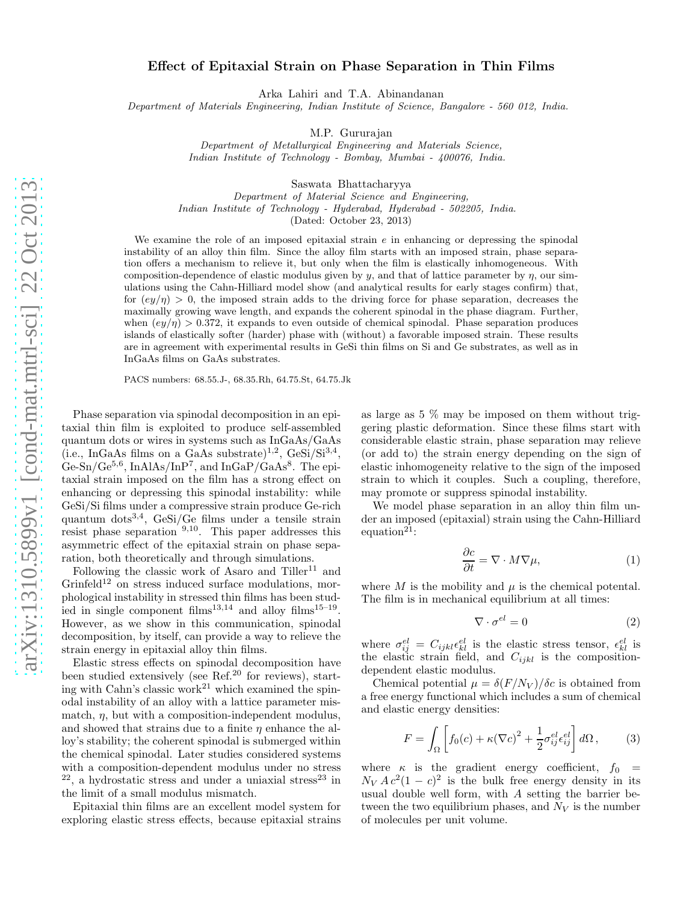## Effect of Epitaxial Strain on Phase Separation in Thin Films

Arka Lahiri and T.A. Abinandanan

Department of Materials Engineering, Indian Institute of Science, Bangalore - 560 012, India.

M.P. Gururajan

Department of Metallurgical Engineering and Materials Science, Indian Institute of Technology - Bombay, Mumbai - 400076, India.

Saswata Bhattacharyya

Department of Material Science and Engineering, Indian Institute of Technology - Hyderabad, Hyderabad - 502205, India.

(Dated: October 23, 2013)

We examine the role of an imposed epitaxial strain  $e$  in enhancing or depressing the spinodal instability of an alloy thin film. Since the alloy film starts with an imposed strain, phase separation offers a mechanism to relieve it, but only when the film is elastically inhomogeneous. With composition-dependence of elastic modulus given by y, and that of lattice parameter by  $\eta$ , our simulations using the Cahn-Hilliard model show (and analytical results for early stages confirm) that, for  $(ey/\eta) > 0$ , the imposed strain adds to the driving force for phase separation, decreases the maximally growing wave length, and expands the coherent spinodal in the phase diagram. Further, when  $\left(\frac{ey}{\eta}\right) > 0.372$ , it expands to even outside of chemical spinodal. Phase separation produces islands of elastically softer (harder) phase with (without) a favorable imposed strain. These results are in agreement with experimental results in GeSi thin films on Si and Ge substrates, as well as in InGaAs films on GaAs substrates.

PACS numbers: 68.55.J-, 68.35.Rh, 64.75.St, 64.75.Jk

Phase separation via spinodal decomposition in an epitaxial thin film is exploited to produce self-assembled quantum dots or wires in systems such as InGaAs/GaAs  $(i.e., InGaAs films on a GaAs substrate)<sup>1,2</sup>, GeSi/Si<sup>3,4</sup>,$  $\rm{Ge-Sn/Ge^{5,6}}$ , InAlAs/InP<sup>7</sup>, and In $\rm{GaP/GaAs^{8}}$ . The epitaxial strain imposed on the film has a strong effect on enhancing or depressing this spinodal instability: while GeSi/Si films under a compressive strain produce Ge-rich quantum dots3,4, GeSi/Ge films under a tensile strain resist phase separation  $9,10$ . This paper addresses this asymmetric effect of the epitaxial strain on phase separation, both theoretically and through simulations.

Following the classic work of Asaro and  $Tiller^{11}$  and  $Grinfeld<sup>12</sup>$  on stress induced surface modulations, morphological instability in stressed thin films has been studied in single component films<sup>13,14</sup> and alloy films<sup>15-19</sup>. However, as we show in this communication, spinodal decomposition, by itself, can provide a way to relieve the strain energy in epitaxial alloy thin films.

Elastic stress effects on spinodal decomposition have been studied extensively (see Ref.<sup>20</sup> for reviews), starting with Cahn's classic work<sup>21</sup> which examined the spinodal instability of an alloy with a lattice parameter mismatch,  $\eta$ , but with a composition-independent modulus, and showed that strains due to a finite  $\eta$  enhance the alloy's stability; the coherent spinodal is submerged within the chemical spinodal. Later studies considered systems with a composition-dependent modulus under no stress  $22$ , a hydrostatic stress and under a uniaxial stress<sup>23</sup> in the limit of a small modulus mismatch.

Epitaxial thin films are an excellent model system for exploring elastic stress effects, because epitaxial strains as large as 5 % may be imposed on them without triggering plastic deformation. Since these films start with considerable elastic strain, phase separation may relieve (or add to) the strain energy depending on the sign of elastic inhomogeneity relative to the sign of the imposed strain to which it couples. Such a coupling, therefore, may promote or suppress spinodal instability.

We model phase separation in an alloy thin film under an imposed (epitaxial) strain using the Cahn-Hilliard equation<sup>21</sup>:

$$
\frac{\partial c}{\partial t} = \nabla \cdot M \nabla \mu,\tag{1}
$$

where M is the mobility and  $\mu$  is the chemical potental. The film is in mechanical equilibrium at all times:

$$
\nabla \cdot \sigma^{el} = 0 \tag{2}
$$

where  $\sigma_{ij}^{el} = C_{ijkl} \epsilon_{kl}^{el}$  is the elastic stress tensor,  $\epsilon_{kl}^{el}$  is the elastic strain field, and  $C_{ijkl}$  is the compositiondependent elastic modulus.

Chemical potential  $\mu = \delta(F/N_V)/\delta c$  is obtained from a free energy functional which includes a sum of chemical and elastic energy densities:

$$
F = \int_{\Omega} \left[ f_0(c) + \kappa (\nabla c)^2 + \frac{1}{2} \sigma_{ij}^{el} \epsilon_{ij}^{el} \right] d\Omega, \qquad (3)
$$

where  $\kappa$  is the gradient energy coefficient,  $f_0 =$  $N_V A c^2 (1 - c)^2$  is the bulk free energy density in its usual double well form, with A setting the barrier between the two equilibrium phases, and  $N_V$  is the number of molecules per unit volume.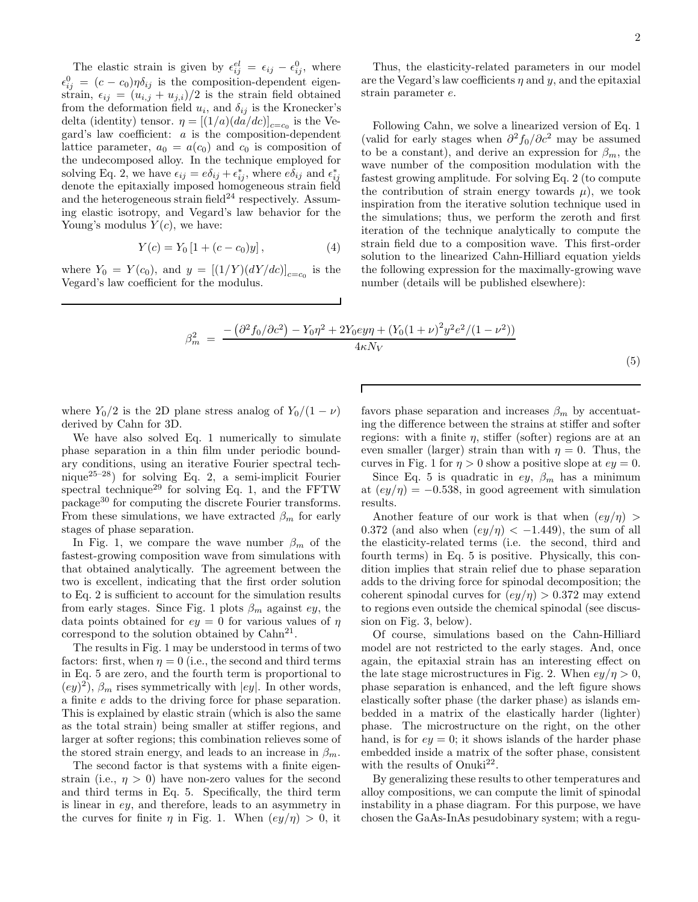The elastic strain is given by  $\epsilon_{ij}^{el} = \epsilon_{ij} - \epsilon_{ij}^{0}$ , where  $\epsilon_{ij}^0 = (c - c_0)\eta \delta_{ij}$  is the composition-dependent eigenstrain,  $\epsilon_{ij} = (u_{i,j} + u_{j,i})/2$  is the strain field obtained from the deformation field  $u_i$ , and  $\delta_{ij}$  is the Kronecker's delta (identity) tensor.  $\eta = [(1/a)(da/dc)]_{c=c_0}$  is the Vegard's law coefficient: a is the composition-dependent lattice parameter,  $a_0 = a(c_0)$  and  $c_0$  is composition of the undecomposed alloy. In the technique employed for solving Eq. 2, we have  $\epsilon_{ij} = e\delta_{ij} + \epsilon_{ij}^*$ , where  $e\delta_{ij}$  and  $\epsilon_{ij}^*$  denote the epitaxially imposed homogeneous strain field and the heterogeneous strain field $^{24}$  respectively. Assuming elastic isotropy, and Vegard's law behavior for the Young's modulus  $Y(c)$ , we have:

$$
Y(c) = Y_0 [1 + (c - c_0)y], \qquad (4)
$$

where  $Y_0 = Y(c_0)$ , and  $y = [(1/Y)(dY/dc)]_{c=c_0}$  is the Vegard's law coefficient for the modulus.

Thus, the elasticity-related parameters in our model are the Vegard's law coefficients  $\eta$  and  $y$ , and the epitaxial strain parameter e.

Following Cahn, we solve a linearized version of Eq. 1 (valid for early stages when  $\partial^2 f_0 / \partial c^2$  may be assumed to be a constant), and derive an expression for  $\beta_m$ , the wave number of the composition modulation with the fastest growing amplitude. For solving Eq. 2 (to compute the contribution of strain energy towards  $\mu$ ), we took inspiration from the iterative solution technique used in the simulations; thus, we perform the zeroth and first iteration of the technique analytically to compute the strain field due to a composition wave. This first-order solution to the linearized Cahn-Hilliard equation yields the following expression for the maximally-growing wave number (details will be published elsewhere):

$$
\beta_m^2 = \frac{-\left(\partial^2 f_0 / \partial c^2\right) - Y_0 \eta^2 + 2Y_0 e y \eta + \left(Y_0 (1 + \nu)^2 y^2 e^2 / (1 - \nu^2)\right)}{4\kappa N_V} \tag{5}
$$

where  $Y_0/2$  is the 2D plane stress analog of  $Y_0/(1 - \nu)$ derived by Cahn for 3D.

We have also solved Eq. 1 numerically to simulate phase separation in a thin film under periodic boundary conditions, using an iterative Fourier spectral technique<sup>25–28</sup>) for solving Eq. 2, a semi-implicit Fourier spectral technique<sup>29</sup> for solving Eq. 1, and the FFTW package<sup>30</sup> for computing the discrete Fourier transforms. From these simulations, we have extracted  $\beta_m$  for early stages of phase separation.

In Fig. 1, we compare the wave number  $\beta_m$  of the fastest-growing composition wave from simulations with that obtained analytically. The agreement between the two is excellent, indicating that the first order solution to Eq. 2 is sufficient to account for the simulation results from early stages. Since Fig. 1 plots  $\beta_m$  against ey, the data points obtained for  $ey = 0$  for various values of  $\eta$ correspond to the solution obtained by  $\text{Cahn}^{21}$ .

The results in Fig. 1 may be understood in terms of two factors: first, when  $\eta = 0$  (i.e., the second and third terms in Eq. 5 are zero, and the fourth term is proportional to  $(ey)^2$ ),  $\beta_m$  rises symmetrically with  $|ey|$ . In other words, a finite e adds to the driving force for phase separation. This is explained by elastic strain (which is also the same as the total strain) being smaller at stiffer regions, and larger at softer regions; this combination relieves some of the stored strain energy, and leads to an increase in  $\beta_m$ .

The second factor is that systems with a finite eigenstrain (i.e.,  $\eta > 0$ ) have non-zero values for the second and third terms in Eq. 5. Specifically, the third term is linear in ey, and therefore, leads to an asymmetry in the curves for finite  $\eta$  in Fig. 1. When  $\left(\frac{ey}{\eta}\right) > 0$ , it

favors phase separation and increases  $\beta_m$  by accentuating the difference between the strains at stiffer and softer regions: with a finite  $\eta$ , stiffer (softer) regions are at an even smaller (larger) strain than with  $\eta = 0$ . Thus, the curves in Fig. 1 for  $\eta > 0$  show a positive slope at  $ey = 0$ .

Since Eq. 5 is quadratic in ey,  $\beta_m$  has a minimum at  $\left( \frac{ey}{\eta} \right) = -0.538$ , in good agreement with simulation results.

Another feature of our work is that when  $\left(\frac{ey}{n}\right)$ 0.372 (and also when  $\left(\frac{ey}{\eta}\right) < -1.449$ ), the sum of all the elasticity-related terms (i.e. the second, third and fourth terms) in Eq. 5 is positive. Physically, this condition implies that strain relief due to phase separation adds to the driving force for spinodal decomposition; the coherent spinodal curves for  $\left(\frac{ey}{\eta}\right) > 0.372$  may extend to regions even outside the chemical spinodal (see discussion on Fig. 3, below).

Of course, simulations based on the Cahn-Hilliard model are not restricted to the early stages. And, once again, the epitaxial strain has an interesting effect on the late stage microstructures in Fig. 2. When  $ey/\eta > 0$ , phase separation is enhanced, and the left figure shows elastically softer phase (the darker phase) as islands embedded in a matrix of the elastically harder (lighter) phase. The microstructure on the right, on the other hand, is for  $ey = 0$ ; it shows islands of the harder phase embedded inside a matrix of the softer phase, consistent with the results of Onuki<sup>22</sup>.

By generalizing these results to other temperatures and alloy compositions, we can compute the limit of spinodal instability in a phase diagram. For this purpose, we have chosen the GaAs-InAs pesudobinary system; with a regu-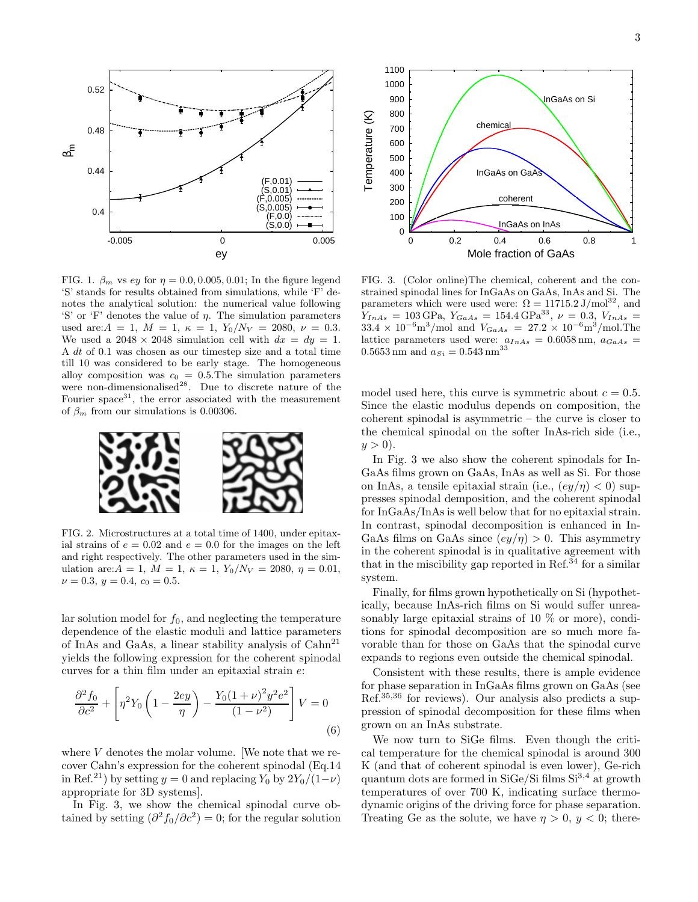

FIG. 1.  $\beta_m$  vs ey for  $\eta = 0.0, 0.005, 0.01$ ; In the figure legend 'S' stands for results obtained from simulations, while 'F' denotes the analytical solution: the numerical value following 'S' or 'F' denotes the value of η. The simulation parameters used are:  $A = 1$ ,  $M = 1$ ,  $\kappa = 1$ ,  $Y_0/N_V = 2080$ ,  $\nu = 0.3$ . We used a  $2048 \times 2048$  simulation cell with  $dx = dy = 1$ . A dt of 0.1 was chosen as our timestep size and a total time till 10 was considered to be early stage. The homogeneous alloy composition was  $c_0 = 0.5$ . The simulation parameters were non-dimensionalised<sup>28</sup>. Due to discrete nature of the Fourier space<sup>31</sup>, the error associated with the measurement of  $\beta_m$  from our simulations is 0.00306.



FIG. 2. Microstructures at a total time of 1400, under epitaxial strains of  $e = 0.02$  and  $e = 0.0$  for the images on the left and right respectively. The other parameters used in the simulation are:  $A = 1$ ,  $M = 1$ ,  $\kappa = 1$ ,  $Y_0/N_V = 2080$ ,  $\eta = 0.01$ ,  $\nu = 0.3, y = 0.4, c_0 = 0.5.$ 

lar solution model for  $f_0$ , and neglecting the temperature dependence of the elastic moduli and lattice parameters of InAs and GaAs, a linear stability analysis of Cahn<sup>21</sup> yields the following expression for the coherent spinodal curves for a thin film under an epitaxial strain e:

$$
\frac{\partial^2 f_0}{\partial c^2} + \left[ \eta^2 Y_0 \left( 1 - \frac{2ey}{\eta} \right) - \frac{Y_0 (1 + \nu)^2 y^2 e^2}{(1 - \nu^2)} \right] V = 0
$$
\n(6)

where  $V$  denotes the molar volume. [We note that we recover Cahn's expression for the coherent spinodal (Eq.14 in Ref.<sup>21</sup>) by setting  $y = 0$  and replacing  $Y_0$  by  $2Y_0/(1-\nu)$ appropriate for 3D systems].

In Fig. 3, we show the chemical spinodal curve obtained by setting  $\left(\frac{\partial^2 f_0}{\partial c^2}\right) = 0$ ; for the regular solution



FIG. 3. (Color online)The chemical, coherent and the constrained spinodal lines for InGaAs on GaAs, InAs and Si. The parameters which were used were:  $\Omega = 11715.2 \text{ J/mol}^{32}$ , and  $Y_{InAs} = 103 \text{ GPa}, Y_{GaAs} = 154.4 \text{ GPa}^{33}, \nu = 0.3, V_{InAs} = 103 \text{ GPa}$  $33.4 \times 10^{-6} \text{m}^3/\text{mol}$  and  $V_{GaAs} = 27.2 \times 10^{-6} \text{m}^3/\text{mol}$ . The lattice parameters used were:  $a_{InAs} = 0.6058$  nm,  $a_{GaAs} =$  $0.5653\,\mathrm{nm}$  and  $a_{Si}=0.543\,\mathrm{nm}^{33}$ 

model used here, this curve is symmetric about  $c = 0.5$ . Since the elastic modulus depends on composition, the coherent spinodal is asymmetric – the curve is closer to the chemical spinodal on the softer InAs-rich side (i.e.,  $y > 0$ ).

In Fig. 3 we also show the coherent spinodals for In-GaAs films grown on GaAs, InAs as well as Si. For those on InAs, a tensile epitaxial strain (i.e.,  $\left(\frac{ey}{\eta}\right) < 0$ ) suppresses spinodal demposition, and the coherent spinodal for InGaAs/InAs is well below that for no epitaxial strain. In contrast, spinodal decomposition is enhanced in In-GaAs films on GaAs since  $\left(\frac{ey}{\eta}\right) > 0$ . This asymmetry in the coherent spinodal is in qualitative agreement with that in the miscibility gap reported in Ref.<sup> $34$ </sup> for a similar system.

Finally, for films grown hypothetically on Si (hypothetically, because InAs-rich films on Si would suffer unreasonably large epitaxial strains of 10 % or more), conditions for spinodal decomposition are so much more favorable than for those on GaAs that the spinodal curve expands to regions even outside the chemical spinodal.

Consistent with these results, there is ample evidence for phase separation in InGaAs films grown on GaAs (see Ref.35,36 for reviews). Our analysis also predicts a suppression of spinodal decomposition for these films when grown on an InAs substrate.

We now turn to SiGe films. Even though the critical temperature for the chemical spinodal is around 300 K (and that of coherent spinodal is even lower), Ge-rich quantum dots are formed in SiGe/Si films  $Si^{3,4}$  at growth temperatures of over 700 K, indicating surface thermodynamic origins of the driving force for phase separation. Treating Ge as the solute, we have  $\eta > 0$ ,  $y < 0$ ; there